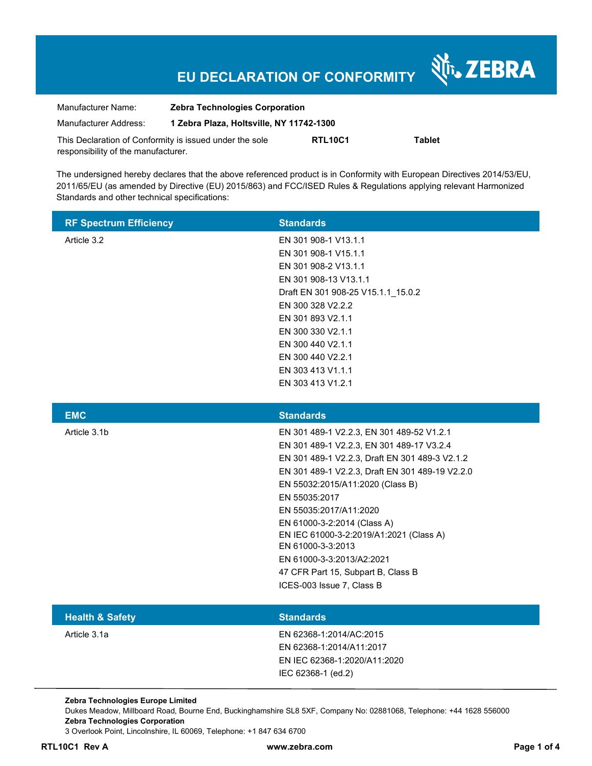# **EU DECLARATION OF CONFORMITY**

Nr. ZEBRA

| Manufacturer Name:                                      | <b>Zebra Technologies Corporation</b>    |                |        |  |
|---------------------------------------------------------|------------------------------------------|----------------|--------|--|
| Manufacturer Address:                                   | 1 Zebra Plaza, Holtsville, NY 11742-1300 |                |        |  |
| This Declaration of Conformity is issued under the sole |                                          | <b>RTL10C1</b> | Tablet |  |
| responsibility of the manufacturer.                     |                                          |                |        |  |

The undersigned hereby declares that the above referenced product is in Conformity with European Directives 2014/53/EU, 2011/65/EU (as amended by Directive (EU) 2015/863) and FCC/ISED Rules & Regulations applying relevant Harmonized Standards and other technical specifications:

| <b>RF Spectrum Efficiency</b> | <b>Standards</b>                                                       |
|-------------------------------|------------------------------------------------------------------------|
| Article 3.2                   | EN 301 908-1 V13.1.1                                                   |
|                               | EN 301 908-1 V15.1.1                                                   |
|                               | EN 301 908-2 V13.1.1                                                   |
|                               | EN 301 908-13 V13.1.1                                                  |
|                               | Draft EN 301 908-25 V15.1.1_15.0.2                                     |
|                               | EN 300 328 V2.2.2                                                      |
|                               | EN 301 893 V2.1.1                                                      |
|                               | EN 300 330 V2.1.1                                                      |
|                               | EN 300 440 V2.1.1                                                      |
|                               | EN 300 440 V2.2.1                                                      |
|                               | EN 303 413 V1.1.1                                                      |
|                               | EN 303 413 V1.2.1                                                      |
|                               |                                                                        |
| <b>EMC</b>                    | <b>Standards</b>                                                       |
| Article 3.1b                  | EN 301 489-1 V2.2.3, EN 301 489-52 V1.2.1                              |
|                               | EN 301 489-1 V2.2.3, EN 301 489-17 V3.2.4                              |
|                               |                                                                        |
|                               | EN 301 489-1 V2.2.3, Draft EN 301 489-3 V2.1.2                         |
|                               | EN 301 489-1 V2.2.3, Draft EN 301 489-19 V2.2.0                        |
|                               | EN 55032:2015/A11:2020 (Class B)                                       |
|                               | EN 55035:2017                                                          |
|                               | EN 55035:2017/A11:2020                                                 |
|                               |                                                                        |
|                               | EN 61000-3-2:2014 (Class A)<br>EN IEC 61000-3-2:2019/A1:2021 (Class A) |
|                               | EN 61000-3-3:2013                                                      |
|                               | EN 61000-3-3:2013/A2:2021                                              |
|                               | 47 CFR Part 15, Subpart B, Class B                                     |
|                               | ICES-003 Issue 7, Class B                                              |
|                               |                                                                        |
| <b>Health &amp; Safety</b>    | <b>Standards</b>                                                       |
| Article 3.1a                  | EN 62368-1:2014/AC:2015                                                |

EN 62368-1:2014/A11:2017 EN IEC 62368-1:2020/A11:2020 IEC 62368-1 (ed.2)

**Zebra Technologies Europe Limited** 

Dukes Meadow, Millboard Road, Bourne End, Buckinghamshire SL8 5XF, Company No: 02881068, Telephone: +44 1628 556000 **Zebra Technologies Corporation**  3 Overlook Point, Lincolnshire, IL 60069, Telephone: +1 847 634 6700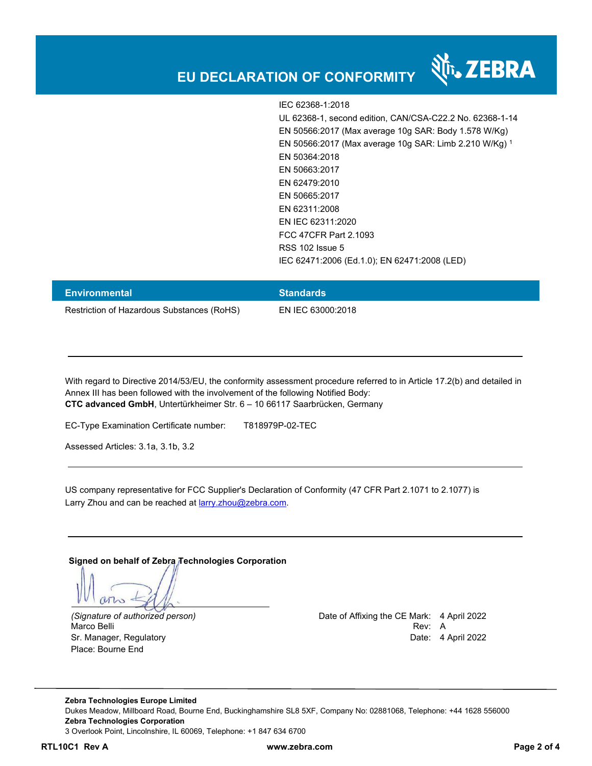

IEC 62368-1:2018 UL 62368-1, second edition, CAN/CSA-C22.2 No. 62368-1-14 EN 50566:2017 (Max average 10g SAR: Body 1.578 W/Kg) EN 50566:2017 (Max average 10g SAR: Limb 2.210 W/Kg) <sup>1</sup> EN 50364:2018 EN 50663:2017 EN 62479:2010 EN 50665:2017 EN 62311:2008 EN IEC 62311:2020 FCC 47CFR Part 2.1093 RSS 102 Issue 5 IEC 62471:2006 (Ed.1.0); EN 62471:2008 (LED)

| <b>Environmental</b>                       | <b>Standards</b>  |
|--------------------------------------------|-------------------|
| Restriction of Hazardous Substances (RoHS) | EN IEC 63000:2018 |

With regard to Directive 2014/53/EU, the conformity assessment procedure referred to in Article 17.2(b) and detailed in Annex III has been followed with the involvement of the following Notified Body: **CTC advanced GmbH**, Untertürkheimer Str. 6 – 10 66117 Saarbrücken, Germany

EC-Type Examination Certificate number: T818979P-02-TEC

Assessed Articles: 3.1a, 3.1b, 3.2

US company representative for FCC Supplier's Declaration of Conformity (47 CFR Part 2.1071 to 2.1077) is Larry Zhou and can be reached at larry.zhou@zebra.com.

#### **Signed on behalf of Zebra Technologies Corporation**

 $MT_{2}$ 

Place: Bourne End

*(Signature of authorized person)* Date of Affixing the CE Mark: 4 April 2022 Marco Belli Rev: A Albert Rev: A Albert Rev: A Albert Rev: A Albert Rev: A Albert Rev: A Albert Rev: A Albert R Sr. Manager, Regulatory **Date: 4 April 2022** 

**Zebra Technologies Europe Limited**  Dukes Meadow, Millboard Road, Bourne End, Buckinghamshire SL8 5XF, Company No: 02881068, Telephone: +44 1628 556000 **Zebra Technologies Corporation**  3 Overlook Point, Lincolnshire, IL 60069, Telephone: +1 847 634 6700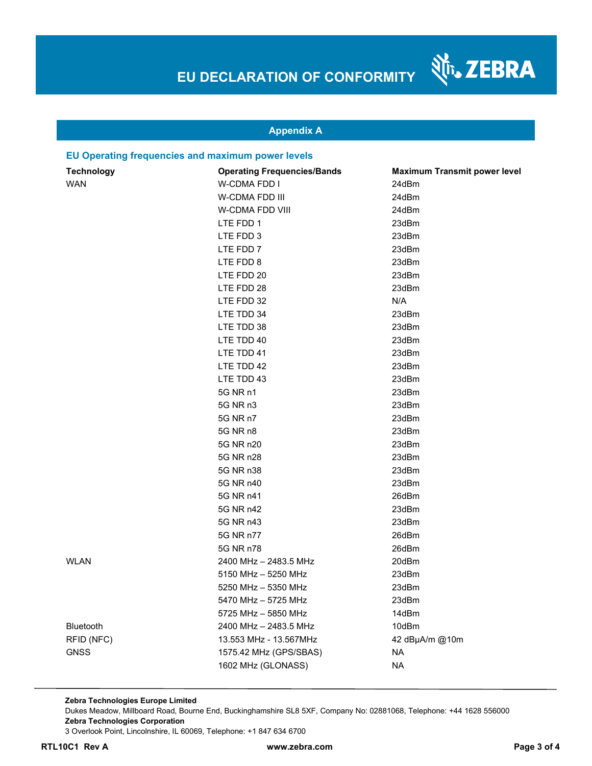श्री<sub>1</sub>, ZEBRA

### **Appendix A**

#### **EU Operating frequencies and maximum power levels**

| <b>Technology</b> | <b>Operating Frequencies/Bands</b> | <b>Maximum Transmit power level</b> |
|-------------------|------------------------------------|-------------------------------------|
| <b>WAN</b>        | W-CDMA FDD I                       | 24dBm                               |
|                   | W-CDMA FDD III                     | 24dBm                               |
|                   | W-CDMA FDD VIII                    | 24dBm                               |
|                   | LTE FDD 1                          | 23dBm                               |
|                   | LTE FDD 3                          | 23dBm                               |
|                   | LTE FDD 7                          | 23dBm                               |
|                   | LTE FDD 8                          | 23dBm                               |
|                   | LTE FDD 20                         | 23dBm                               |
|                   | LTE FDD 28                         | 23dBm                               |
|                   | LTE FDD 32                         | N/A                                 |
|                   | LTE TDD 34                         | 23dBm                               |
|                   | LTE TDD 38                         | 23dBm                               |
|                   | LTE TDD 40                         | 23dBm                               |
|                   | LTE TDD 41                         | 23dBm                               |
|                   | LTE TDD 42                         | 23dBm                               |
|                   | LTE TDD 43                         | 23dBm                               |
|                   | 5G NR n1                           | 23dBm                               |
|                   | 5G NR n3                           | 23dBm                               |
|                   | 5G NR n7                           | 23dBm                               |
|                   | 5G NR n8                           | 23dBm                               |
|                   | 5G NR n20                          | 23dBm                               |
|                   | 5G NR n28                          | 23dBm                               |
|                   | 5G NR n38                          | 23dBm                               |
|                   | 5G NR n40                          | 23dBm                               |
|                   | 5G NR n41                          | 26dBm                               |
|                   | 5G NR n42                          | 23dBm                               |
|                   | 5G NR n43                          | 23dBm                               |
|                   | 5G NR n77                          | 26dBm                               |
|                   | 5G NR n78                          | 26dBm                               |
| <b>WLAN</b>       | 2400 MHz - 2483.5 MHz              | 20dBm                               |
|                   | 5150 MHz - 5250 MHz                | 23dBm                               |
|                   | 5250 MHz - 5350 MHz                | 23dBm                               |
|                   | 5470 MHz - 5725 MHz                | 23dBm                               |
|                   | 5725 MHz - 5850 MHz                | 14dBm                               |
| Bluetooth         | 2400 MHz - 2483.5 MHz              | 10dBm                               |
| RFID (NFC)        | 13.553 MHz - 13.567MHz             | 42 dBµA/m @10m                      |
| <b>GNSS</b>       | 1575.42 MHz (GPS/SBAS)             | <b>NA</b>                           |
|                   | 1602 MHz (GLONASS)                 | <b>NA</b>                           |